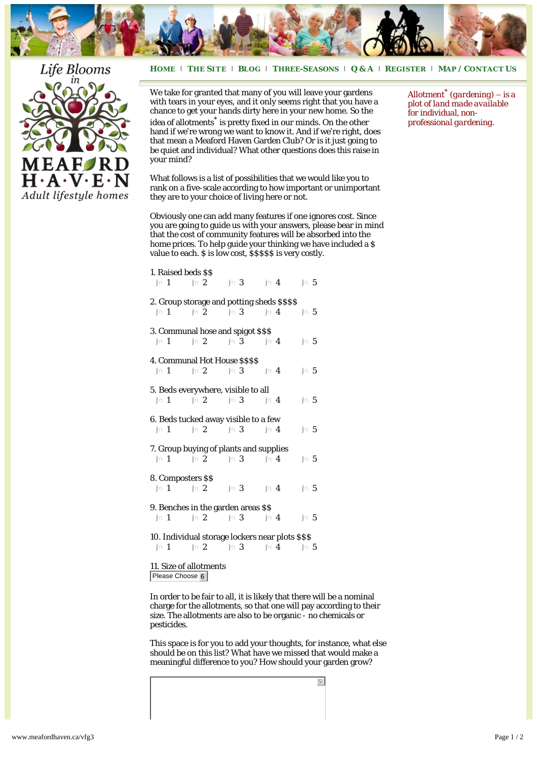

## **H[OME](http://www.meafordhaven.ca/)** <sup>|</sup> **THE S[ITE](http://www.meafordhaven.ca/thesite)** <sup>|</sup> **B[LOG](http://www.meafordhaven.ca/lifestyle)** <sup>|</sup> **THREE-S[EASONS](http://www.meafordhaven.ca/three-seasons)** <sup>|</sup> **[Q & A](http://www.meafordhaven.ca/qa/)** <sup>|</sup> **R[EGISTER](http://www.meafordhaven.ca/register)** <sup>|</sup> **MAP / C[ONTACT](http://www.meafordhaven.ca/contact) US**



We take for granted that many of you will leave your gardens with tears in your eyes, and it only seems right that you have a chance to get your hands dirty here in your new home. So the idea of allotments\* is pretty fixed in our minds. On the other hand if we're wrong we want to know it. And if we're right, does that mean a Meaford Haven Garden Club? Or is it just going to be quiet and individual? What other questions does this raise in your mind?

What follows is a list of possibilities that we would like you to rank on a five-scale according to how important or unimportant they are to your choice of living here or not.

Obviously one can add many features if one ignores cost. Since you are going to guide us with your answers, please bear in mind that the cost of community features will be absorbed into the home prices. To help guide your thinking we have included a \$ value to each. \$ is low cost, \$\$\$\$\$ is very costly.

| 1. Raised beds \$\$                                                                                                                                                                     |  |  |  |         |
|-----------------------------------------------------------------------------------------------------------------------------------------------------------------------------------------|--|--|--|---------|
| for 1 for 2 for 3 for 4 for 5                                                                                                                                                           |  |  |  |         |
| 2. Group storage and potting sheds \$\$\$\$                                                                                                                                             |  |  |  |         |
| jn 1 jn 2 jn 3 jn 4 jn 5                                                                                                                                                                |  |  |  |         |
| 3. Communal hose and spigot \$\$\$                                                                                                                                                      |  |  |  |         |
| $\ln 1$ $\ln 2$ $\ln 3$ $\ln 4$                                                                                                                                                         |  |  |  | jn 5    |
| 4. Communal Hot House \$\$\$\$                                                                                                                                                          |  |  |  |         |
| $\text{in } 1 \qquad \text{in } 2 \qquad \text{in } 3 \qquad \text{in } 4$                                                                                                              |  |  |  | $\ln 5$ |
| 5. Beds everywhere, visible to all                                                                                                                                                      |  |  |  |         |
| jn 1 jn 2 jn 3 jn 4                                                                                                                                                                     |  |  |  | $\ln 5$ |
|                                                                                                                                                                                         |  |  |  |         |
| 6. Beds tucked away visible to a few                                                                                                                                                    |  |  |  |         |
| jn $1$ jn $2$ jn $3$ jn $4$                                                                                                                                                             |  |  |  | $\ln 5$ |
| 7. Group buying of plants and supplies                                                                                                                                                  |  |  |  |         |
| $jn 1 \qquad jn 2 \qquad jn 3 \qquad jn 4$                                                                                                                                              |  |  |  | jn 5    |
| 8. Composters \$\$                                                                                                                                                                      |  |  |  |         |
| $\text{in} \hspace{.1cm} 1 \hspace{1cm} \text{in} \hspace{.1cm} 2 \hspace{1cm} \text{in} \hspace{.1cm} 3 \hspace{1cm} \text{in} \hspace{.1cm} 4 \hspace{1cm} \text{in} \hspace{.1cm} 5$ |  |  |  |         |
| 9. Benches in the garden areas \$\$                                                                                                                                                     |  |  |  |         |
| $\lim_{x\to 0} 1 \qquad \lim_{x\to 0} 2 \qquad \lim_{x\to 0} 3 \qquad \lim_{x\to 0} 4$                                                                                                  |  |  |  | $\ln 5$ |
|                                                                                                                                                                                         |  |  |  |         |
| 10. Individual storage lockers near plots \$\$\$                                                                                                                                        |  |  |  |         |
| $jn 1$ $jn 2$ $jn 3$ $jn 4$ $jn 5$                                                                                                                                                      |  |  |  |         |
| 11. Size of allotments                                                                                                                                                                  |  |  |  |         |

Please Choose<sup>6</sup>

In order to be fair to all, it is likely that there will be a nominal charge for the allotments, so that one will pay according to their size. The allotments are also to be organic - no chemicals or pesticides.

This space is for you to add your thoughts, for instance, what else should be on this list? What have we missed that would make a meaningful difference to you? How should your garden grow?

5

*Allotment\* (gardening) – is a plot of land made available for individual, nonprofessional gardening.*